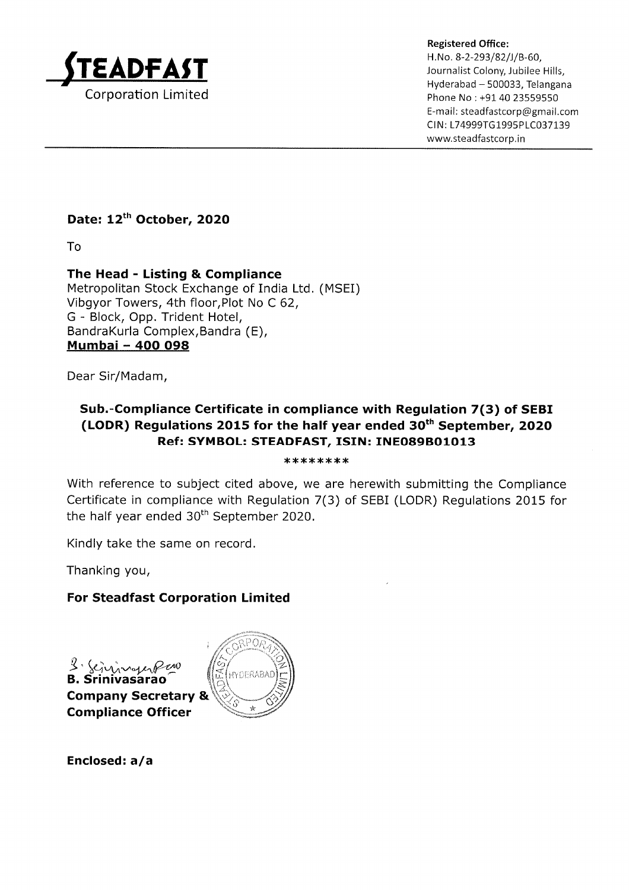

Registered Office: H.No. 8-2-293/82/J/B-60, Journalist Colony, Jubilee Hills, Hyderabad - 500033, Telangana Phone No : +91 40 23559550 E-mail : steadfastcorp@gmail.com CIN: L74999TG1995PLC037139 www.steadfastcorp. in

### Date: 12<sup>th</sup> October, 2020

To

The Head - Listing & Compliance Metropolitan Stock Exchange of India Ltd. (MSEI) Vibgyor Towers, 4th floor,Plot No C 62, G - Block, Opp. Trident Hotel, BandraKurla Complex,Bandra (E), Mumbai - 4OO O98

Dear Sir/Madam,

## Sub.-Compliance Certificate in compliance with Regulation 7(3) of SEBI (LODR) Regulations 2015 for the half year ended  $30<sup>th</sup>$  September, 2020 Ref: SYMBOL: STEADFAST, ISIN: INEO89BO1O13

\*\*\*\*\*\*\*\*\*\*\*\*\*\*\*\*\*\*\*

With reference to subject cited above, we are herewith submitting the Compliance Certificate in compliance with Regulation 7(3) of SEBI (LODR) Regulations 2015 for the half year ended  $30<sup>th</sup>$  September 2020.

Kindly take the same on record.

Thanking you,

#### For Steadfast Corporation Limited

'vasarao Company Secretary &

Compliance Officer



Enclosed: a/a